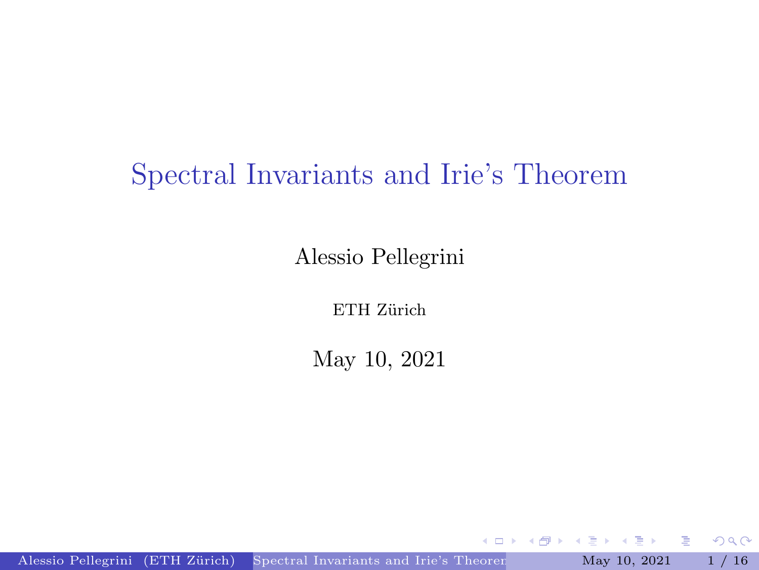#### <span id="page-0-0"></span>Spectral Invariants and Irie's Theorem

Alessio Pellegrini

ETH Zürich

May 10, 2021

 $\leftarrow$ 

Alessio Pellegrini (ETH Zürich) [Spectral Invariants and Irie's Theorem](#page-39-0) May 10, 2021 1 / 16

重

 $2Q$ 

 $\mathbf{p}$ E

∍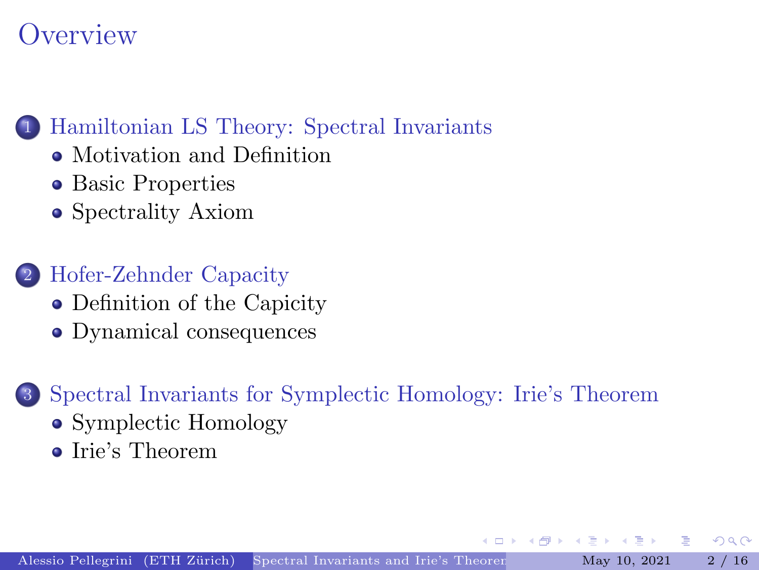### **Overview**

#### 1 [Hamiltonian LS Theory: Spectral Invariants](#page-2-0)

- [Motivation and Definition](#page-2-0)
- [Basic Properties](#page-10-0)
- [Spectrality Axiom](#page-14-0)

#### 2 [Hofer-Zehnder Capacity](#page-17-0)

- [Definition of the Capicity](#page-17-0)
- [Dynamical consequences](#page-26-0)

#### 3 [Spectral Invariants for Symplectic Homology: Irie's Theorem](#page-28-0)

- [Symplectic Homology](#page-28-0)
- [Irie's Theorem](#page-34-0)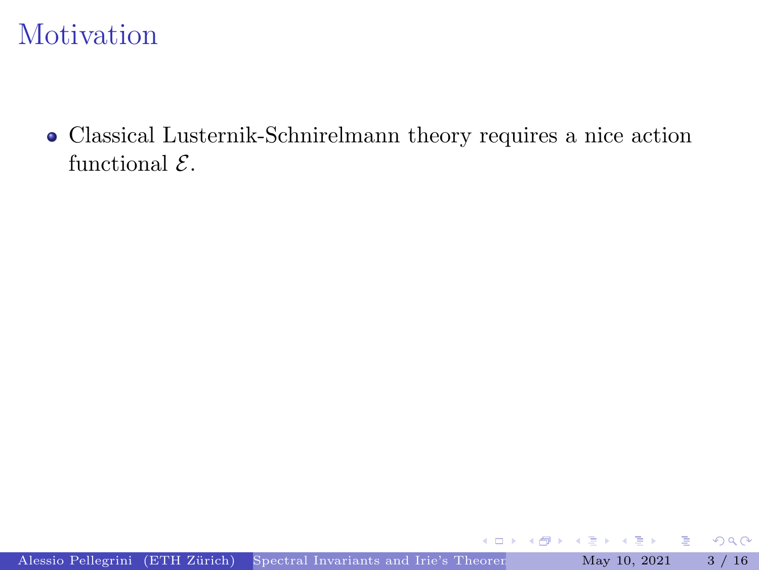<span id="page-2-0"></span>Classical Lusternik-Schnirelmann theory requires a nice action functional  $\mathcal{E}$ .

重

 $2Q$ 

÷,

 $\leftarrow$  $\sim$  $\mathbf{d}$ 

4 n →

4.000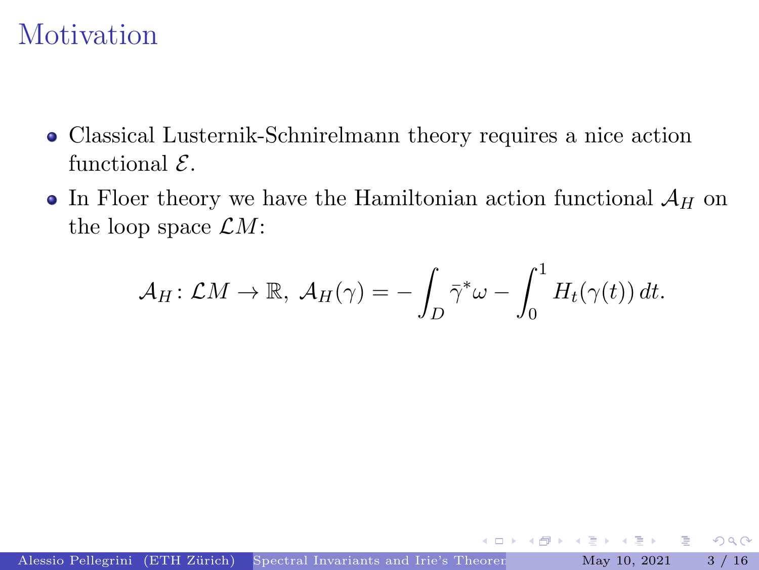- Classical Lusternik-Schnirelmann theory requires a nice action functional  $\mathcal{E}$ .
- In Floer theory we have the Hamiltonian action functional  $\mathcal{A}_H$  on the loop space  $\mathcal{L}M$ :

$$
\mathcal{A}_H\colon \mathcal{L}M \to \mathbb{R}, \ \mathcal{A}_H(\gamma) = -\int_D \bar{\gamma}^*\omega - \int_0^1 H_t(\gamma(t)) dt.
$$

 $\mathbf{p}$ 重

4 0 8

Þ

 $2Q$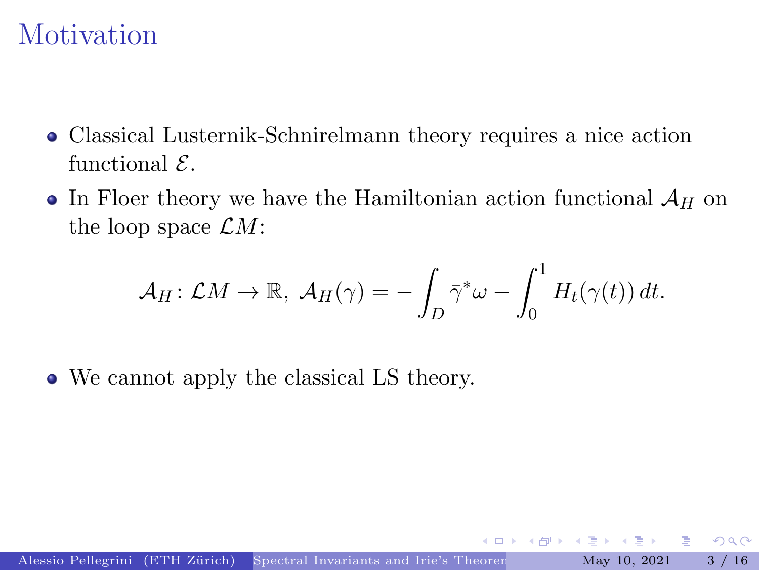- Classical Lusternik-Schnirelmann theory requires a nice action functional  $\mathcal{E}$ .
- In Floer theory we have the Hamiltonian action functional  $\mathcal{A}_H$  on the loop space  $\mathcal{L}M$ :

$$
\mathcal{A}_H\colon \mathcal{L}M \to \mathbb{R}, \ \mathcal{A}_H(\gamma) = -\int_D \bar{\gamma}^*\omega - \int_0^1 H_t(\gamma(t)) dt.
$$

We cannot apply the classical LS theory.

 $\mathbf{p}$ 重 Þ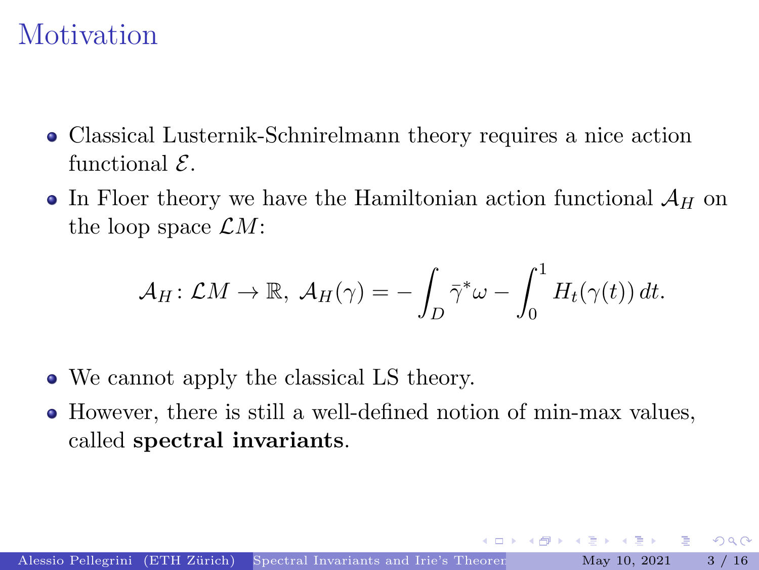- Classical Lusternik-Schnirelmann theory requires a nice action functional  $\mathcal{E}$ .
- In Floer theory we have the Hamiltonian action functional  $\mathcal{A}_H$  on the loop space  $\mathcal{L}M$ :

$$
\mathcal{A}_H\colon \mathcal{L}M \to \mathbb{R}, \ \mathcal{A}_H(\gamma) = -\int_D \bar{\gamma}^*\omega - \int_0^1 H_t(\gamma(t)) dt.
$$

- We cannot apply the classical LS theory.
- However, there is still a well-defined notion of min-max values, called spectral invariants.

 $QQQ$ 

 $\left\{ \begin{array}{ccc} 1 & 1 & 1 \\ 1 & 1 & 1 \end{array} \right.$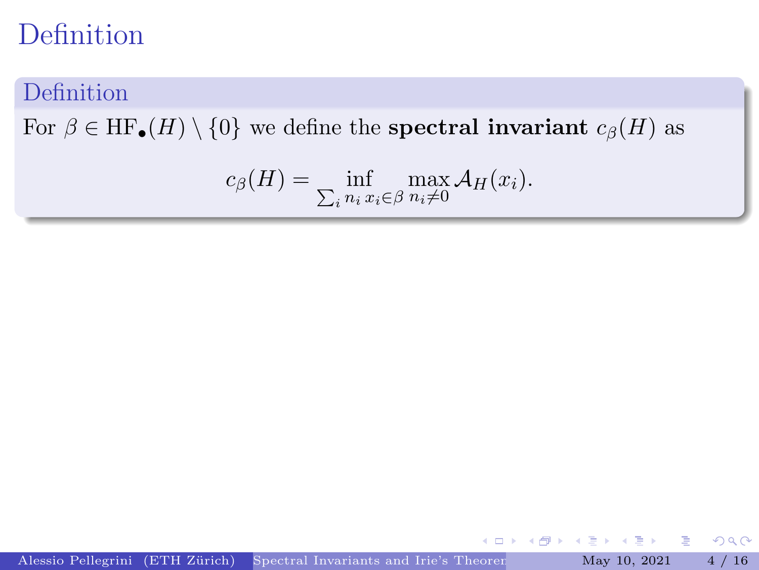#### Definition

For  $\beta \in HF_{\bullet}(H) \setminus \{0\}$  we define the **spectral invariant**  $c_{\beta}(H)$  as

$$
c_{\beta}(H) = \inf_{\sum_i n_i} \max_{x_i \in \beta} \mathcal{A}_H(x_i).
$$

E

 $\leftarrow$ 

重

 $2Q$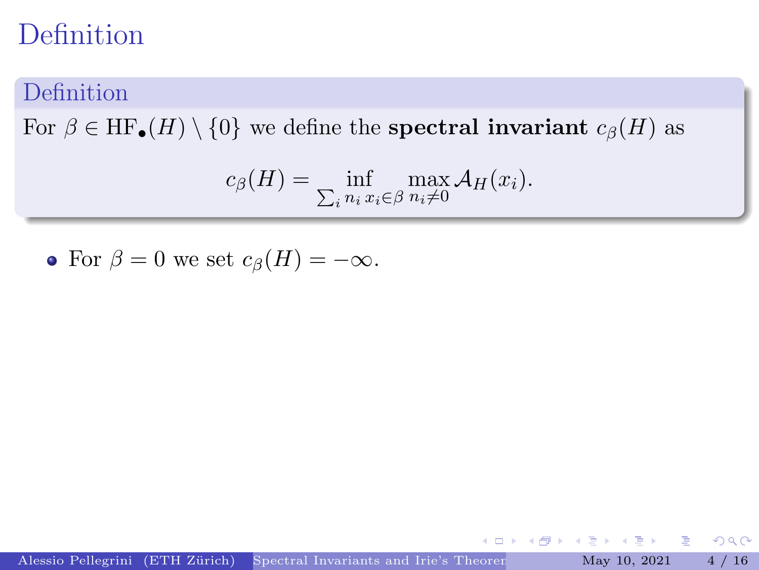#### Definition

For  $\beta \in HF_{\bullet}(H) \setminus \{0\}$  we define the **spectral invariant**  $c_{\beta}(H)$  as

$$
c_{\beta}(H) = \inf_{\sum_i n_i} \max_{x_i \in \beta} \mathcal{A}_H(x_i).
$$

• For  $\beta = 0$  we set  $c_{\beta}(H) = -\infty$ .

活

 $2Q$ 

 $\sim$ D.

 $\leftarrow$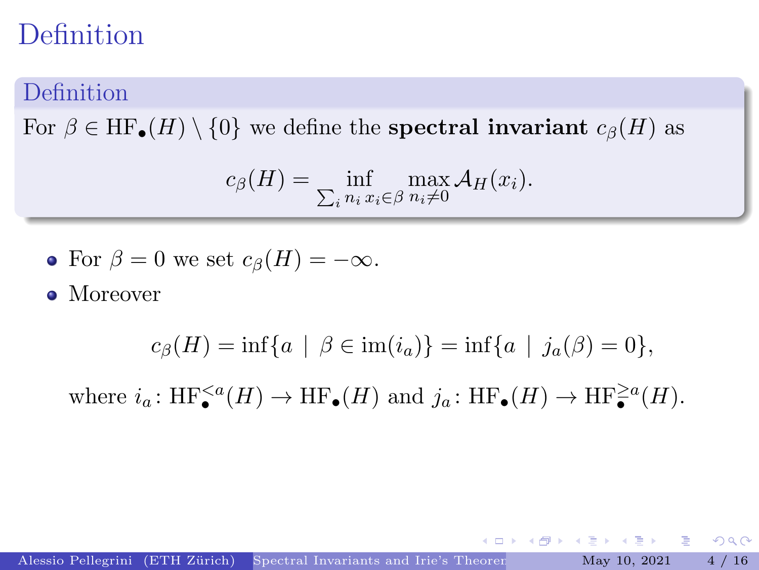#### Definition

For  $\beta \in HF_{\bullet}(H) \setminus \{0\}$  we define the **spectral invariant**  $c_{\beta}(H)$  as

$$
c_{\beta}(H) = \inf_{\sum_i n_i x_i \in \beta} \max_{n_i \neq 0} \mathcal{A}_H(x_i).
$$

• For 
$$
\beta = 0
$$
 we set  $c_{\beta}(H) = -\infty$ .

• Moreover

$$
c_{\beta}(H) = \inf\{a \mid \beta \in \text{im}(i_a)\} = \inf\{a \mid j_a(\beta) = 0\},\
$$

where  $i_a: HF_{\bullet}^{\leq a}(H) \to HF_{\bullet}(H)$  and  $j_a: HF_{\bullet}(H) \to HF_{\bullet}^{\geq a}(H)$ .

 $QQQ$ 

D.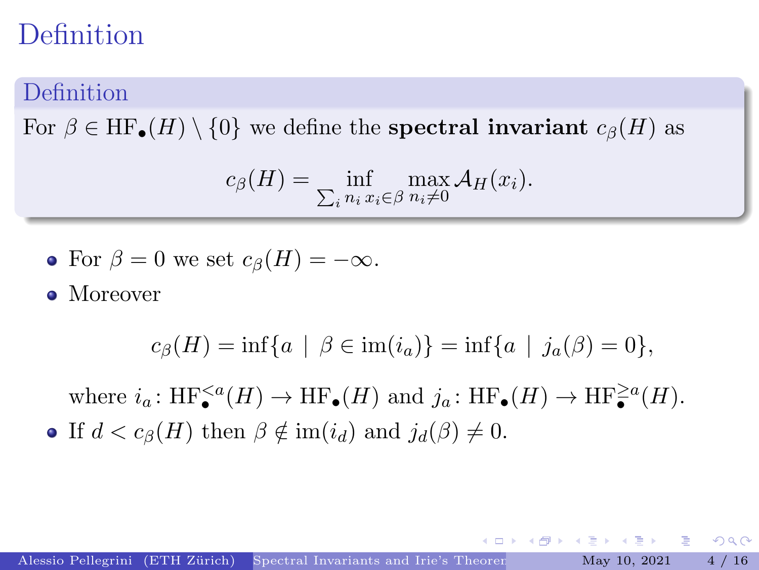#### **Definition**

For  $\beta \in HF_{\bullet}(H) \setminus \{0\}$  we define the **spectral invariant**  $c_{\beta}(H)$  as

$$
c_{\beta}(H) = \inf_{\sum_i n_i x_i \in \beta} \max_{n_i \neq 0} \mathcal{A}_H(x_i).
$$

• For 
$$
\beta = 0
$$
 we set  $c_{\beta}(H) = -\infty$ .

• Moreover

$$
c_{\beta}(H) = \inf\{a \mid \beta \in \text{im}(i_a)\} = \inf\{a \mid j_a(\beta) = 0\},\
$$

where  $i_a: HF_{\bullet}^{\leq a}(H) \to HF_{\bullet}(H)$  and  $j_a: HF_{\bullet}(H) \to HF_{\bullet}^{\geq a}(H)$ . • If  $d < c_{\beta}(H)$  then  $\beta \notin \text{im}(i_d)$  and  $j_d(\beta) \neq 0$ .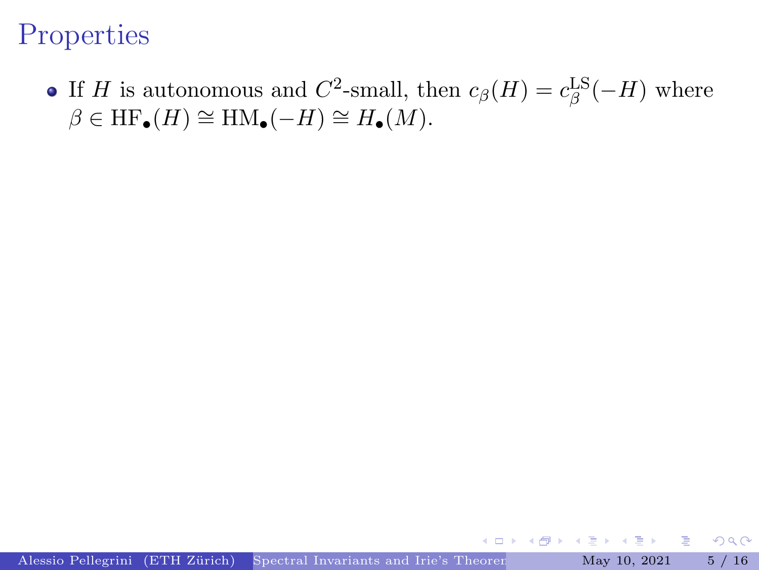<span id="page-10-0"></span>If H is autonomous and  $C^2$ -small, then  $c_\beta(H) = c_\beta^{\text{LS}}(-H)$  where  $\beta \in HF_{\bullet}(H) \cong \text{HM}_{\bullet}(-H) \cong H_{\bullet}(M).$ 

Þ

 $QQ$ 

E

4 0 8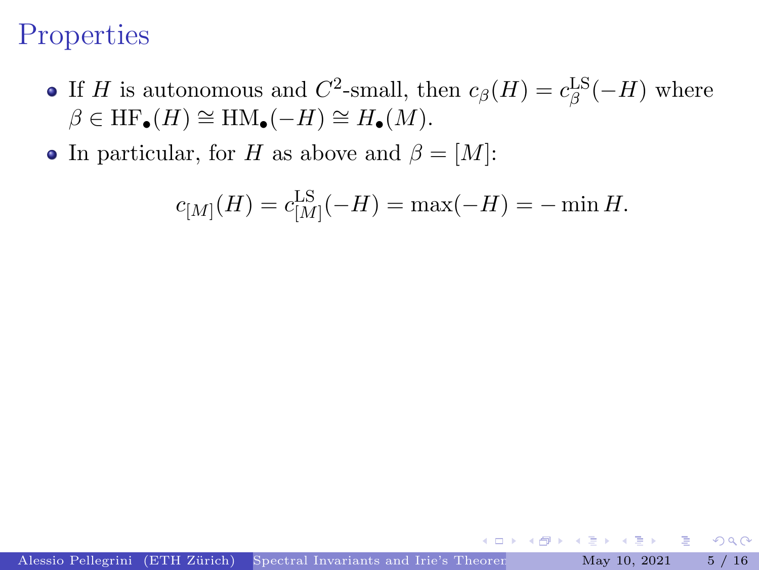- If H is autonomous and  $C^2$ -small, then  $c_\beta(H) = c_\beta^{\text{LS}}(-H)$  where  $\beta \in HF_{\bullet}(H) \cong \text{HM}_{\bullet}(-H) \cong H_{\bullet}(M).$
- In particular, for H as above and  $\beta = [M]$ :

$$
c_{[M]}(H) = c_{[M]}^{\text{LS}}(-H) = \max(-H) = -\min H.
$$

D. Þ

4 0 8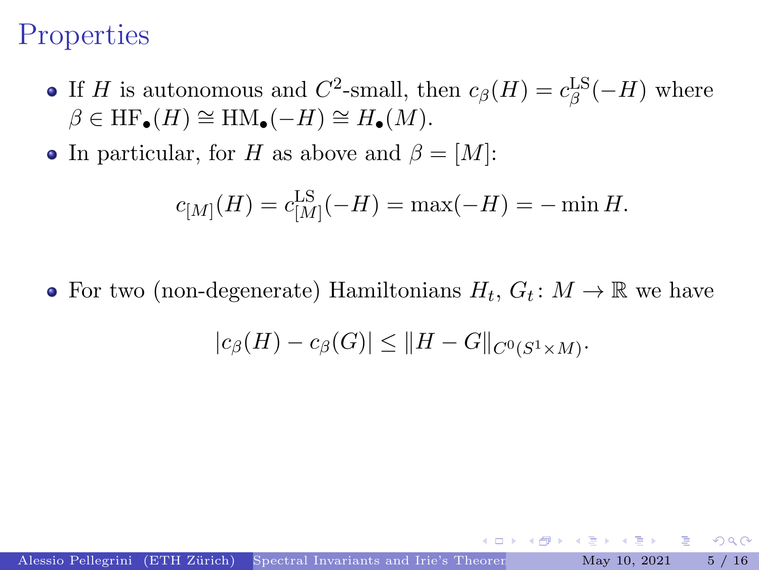- If H is autonomous and  $C^2$ -small, then  $c_\beta(H) = c_\beta^{\text{LS}}(-H)$  where  $\beta \in HF_{\bullet}(H) \cong \text{HM}_{\bullet}(-H) \cong H_{\bullet}(M).$
- In particular, for H as above and  $\beta = [M]$ :

$$
c_{[M]}(H) = c_{[M]}^{\text{LS}}(-H) = \max(-H) = -\min H.
$$

For two (non-degenerate) Hamiltonians  $H_t$ ,  $G_t$ :  $M \to \mathbb{R}$  we have

$$
|c_{\beta}(H)-c_{\beta}(G)|\leq ||H-G||_{C^{0}(S^{1}\times M)}.
$$

 $\mathbf{A} \rightarrow \mathbf{B}$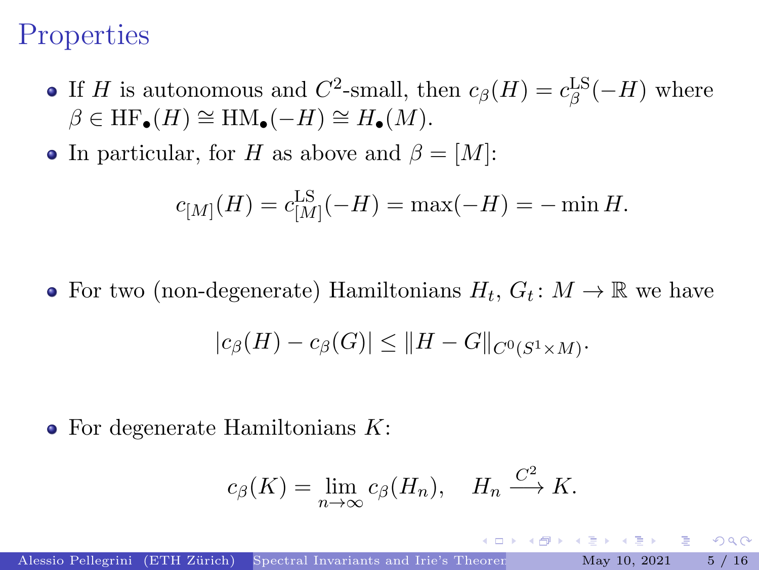- If H is autonomous and  $C^2$ -small, then  $c_\beta(H) = c_\beta^{\text{LS}}(-H)$  where  $\beta \in HF_{\bullet}(H) \cong \text{HM}_{\bullet}(-H) \cong H_{\bullet}(M).$
- In particular, for H as above and  $\beta = [M]$ :

$$
c_{[M]}(H) = c_{[M]}^{\text{LS}}(-H) = \max(-H) = -\min H.
$$

For two (non-degenerate) Hamiltonians  $H_t$ ,  $G_t$ :  $M \to \mathbb{R}$  we have  $|c_{\beta}(H) - c_{\beta}(G)| \leq ||H - G||_{C^{0}(S^{1} \times M)}.$ 

 $\bullet$  For degenerate Hamiltonians  $K$ :

$$
c_{\beta}(K) = \lim_{n \to \infty} c_{\beta}(H_n), \quad H_n \xrightarrow{C^2} K.
$$

 $QQQ$ 

 $\left\{ \left\vert \mathbf{a}\right\vert \mathbf{b}\right\}$  , and  $\left\vert \mathbf{a}\right\vert \mathbf{b}$  , and  $\mathbf{b}$  , and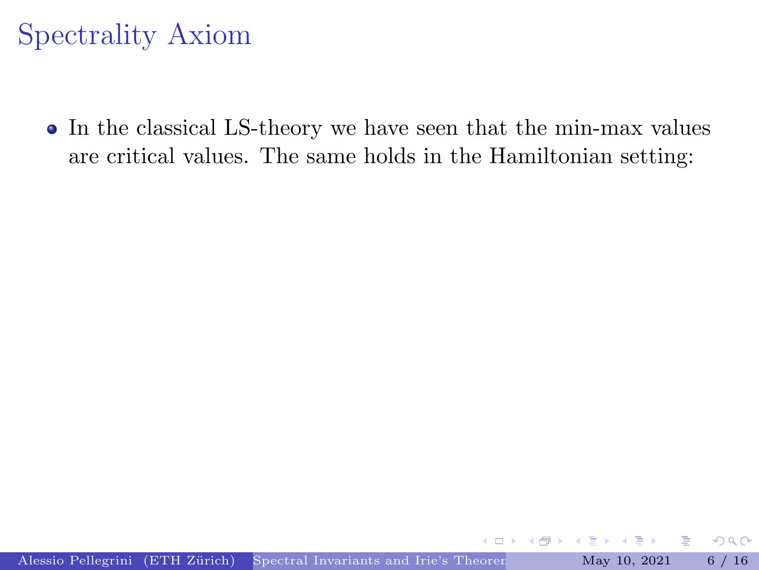# <span id="page-14-0"></span>Spectrality Axiom

• In the classical LS-theory we have seen that the min-max values are critical values. The same holds in the Hamiltonian setting: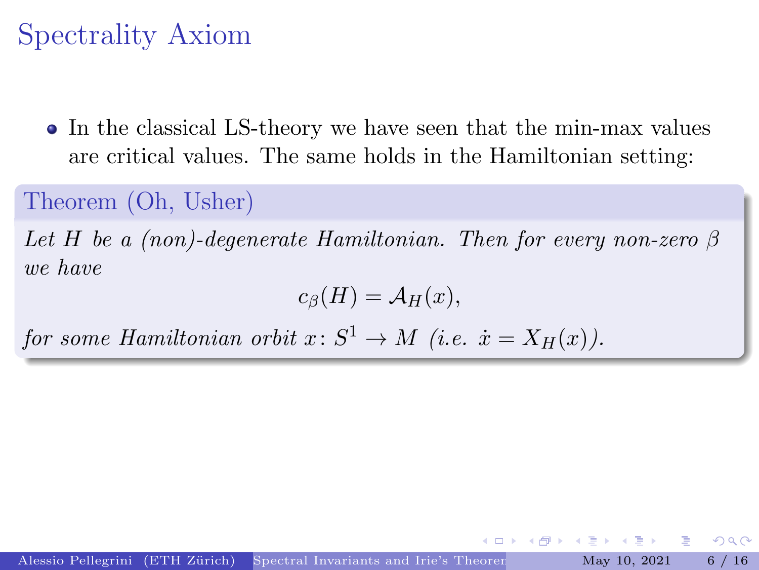# Spectrality Axiom

• In the classical LS-theory we have seen that the min-max values are critical values. The same holds in the Hamiltonian setting:

#### Theorem (Oh, Usher)

Let H be a (non)-degenerate Hamiltonian. Then for every non-zero  $\beta$ we have

$$
c_{\beta}(H) = \mathcal{A}_H(x),
$$

for some Hamiltonian orbit  $x\colon S^1 \to M$  (i.e.  $\dot{x} = X_H(x)$ ).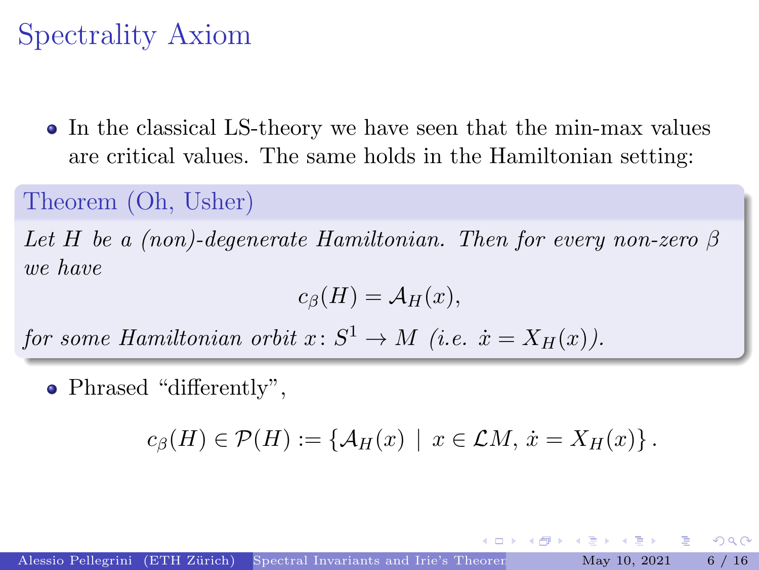# Spectrality Axiom

• In the classical LS-theory we have seen that the min-max values are critical values. The same holds in the Hamiltonian setting:

#### Theorem (Oh, Usher)

Let H be a (non)-degenerate Hamiltonian. Then for every non-zero  $\beta$ we have

$$
c_{\beta}(H) = \mathcal{A}_H(x),
$$

for some Hamiltonian orbit  $x\colon S^1 \to M$  (i.e.  $\dot{x} = X_H(x)$ ).

• Phrased "differently",

$$
c_{\beta}(H) \in \mathcal{P}(H) := \{ \mathcal{A}_H(x) \mid x \in \mathcal{L}M, \, \dot{x} = X_H(x) \}.
$$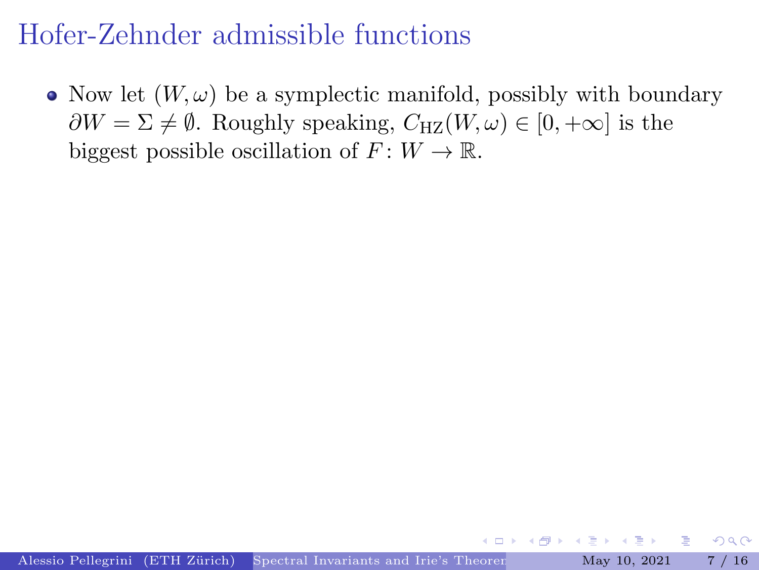<span id="page-17-0"></span>• Now let  $(W, \omega)$  be a symplectic manifold, possibly with boundary  $\partial W = \Sigma \neq \emptyset$ . Roughly speaking,  $C_{\text{HZ}}(W, \omega) \in [0, +\infty]$  is the biggest possible oscillation of  $F: W \to \mathbb{R}$ .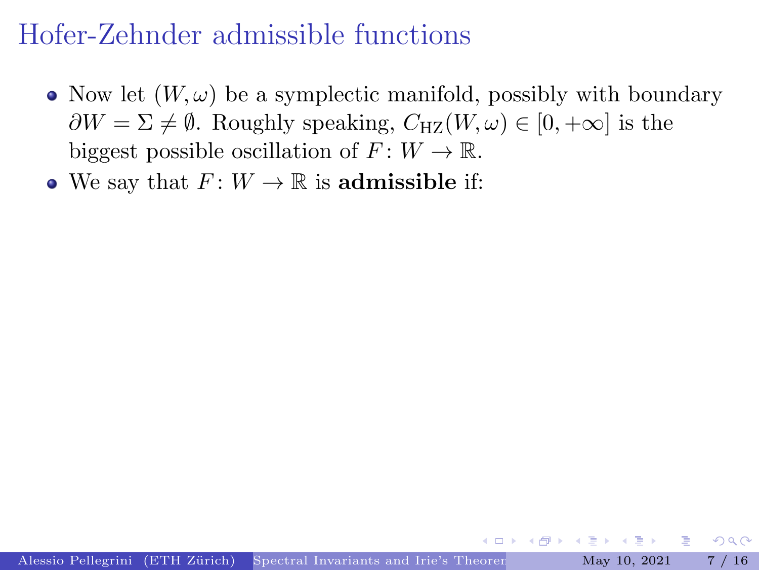- Now let  $(W, \omega)$  be a symplectic manifold, possibly with boundary  $\partial W = \Sigma \neq \emptyset$ . Roughly speaking,  $C_{\text{HZ}}(W, \omega) \in [0, +\infty]$  is the biggest possible oscillation of  $F: W \to \mathbb{R}$ .
- We say that  $F: W \to \mathbb{R}$  is admissible if:

 $2Q$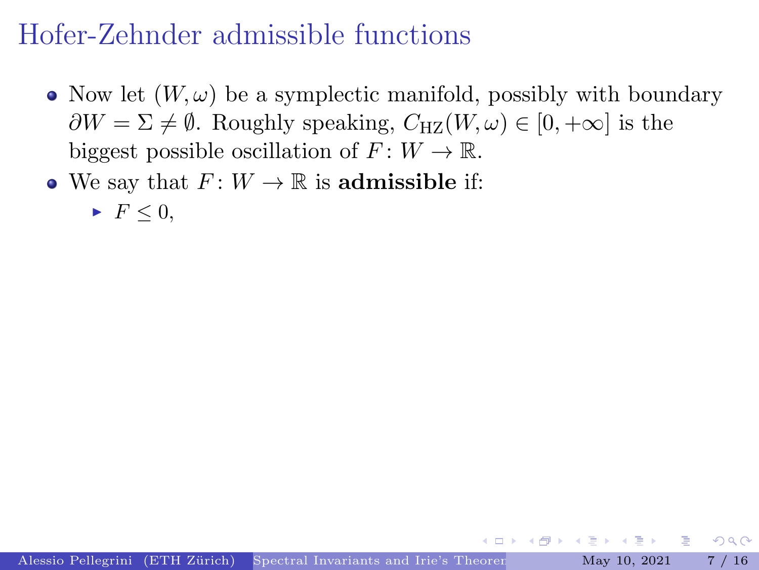- Now let  $(W, \omega)$  be a symplectic manifold, possibly with boundary  $\partial W = \Sigma \neq \emptyset$ . Roughly speaking,  $C_{\text{HZ}}(W, \omega) \in [0, +\infty]$  is the biggest possible oscillation of  $F: W \to \mathbb{R}$ .
- We say that  $F: W \to \mathbb{R}$  is admissible if:

$$
\quad \blacktriangleright \ \ F \leq 0,
$$

 $2Q$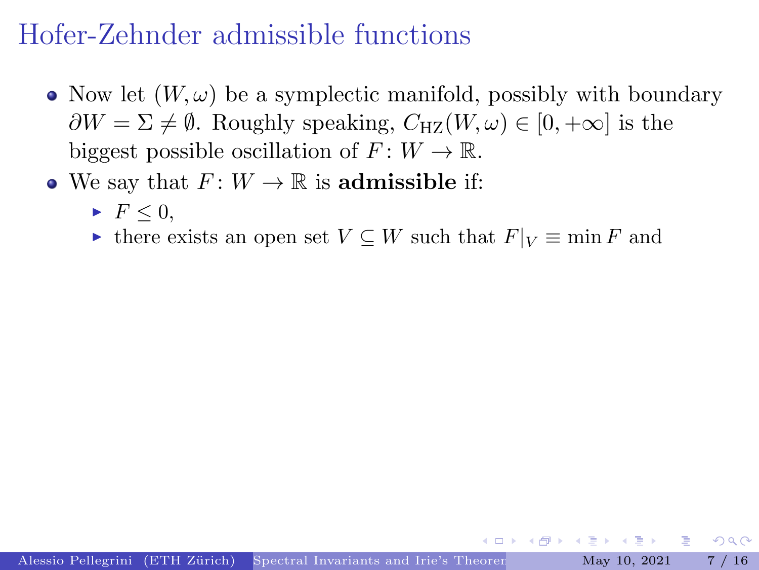- Now let  $(W, \omega)$  be a symplectic manifold, possibly with boundary  $\partial W = \Sigma \neq \emptyset$ . Roughly speaking,  $C_{\text{HZ}}(W, \omega) \in [0, +\infty]$  is the biggest possible oscillation of  $F: W \to \mathbb{R}$ .
- We say that  $F: W \to \mathbb{R}$  is admissible if:
	- $\blacktriangleright$   $F \leq 0$ ,
	- If there exists an open set  $V \subseteq W$  such that  $F|_V \equiv \min F$  and

 $\Omega$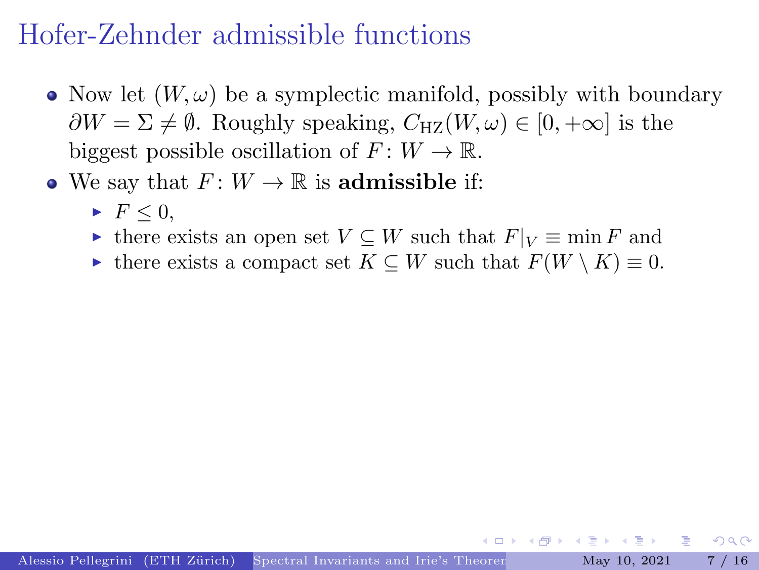- Now let  $(W, \omega)$  be a symplectic manifold, possibly with boundary  $\partial W = \Sigma \neq \emptyset$ . Roughly speaking,  $C_{\text{HZ}}(W, \omega) \in [0, +\infty]$  is the biggest possible oscillation of  $F: W \to \mathbb{R}$ .
- We say that  $F: W \to \mathbb{R}$  is admissible if:
	- $\blacktriangleright$   $F \leq 0$ .
	- If there exists an open set  $V \subseteq W$  such that  $F|_V \equiv \min F$  and
	- In there exists a compact set  $K \subseteq W$  such that  $F(W \setminus K) \equiv 0$ .

 $\Omega$ 

 $\left\{ \begin{array}{ccc} 1 & 1 & 1 \\ 1 & 1 & 1 \end{array} \right.$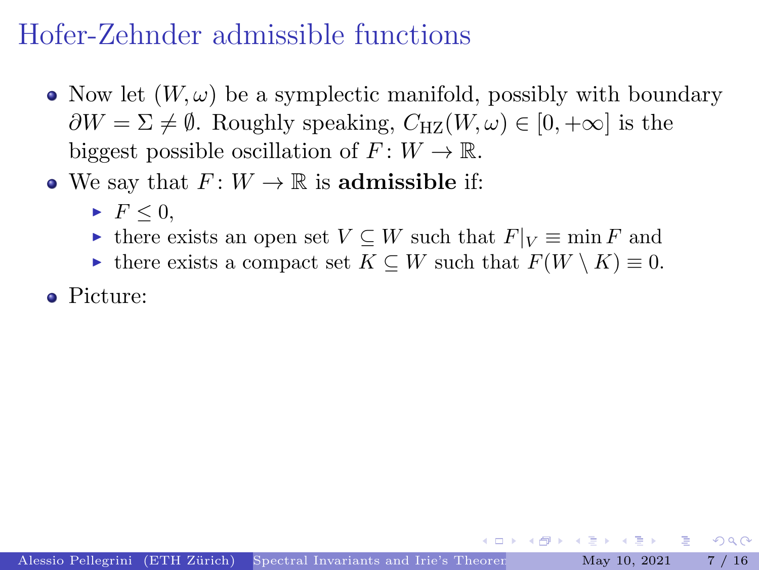- Now let  $(W, \omega)$  be a symplectic manifold, possibly with boundary  $\partial W = \Sigma \neq \emptyset$ . Roughly speaking,  $C_{\text{HZ}}(W, \omega) \in [0, +\infty]$  is the biggest possible oscillation of  $F: W \to \mathbb{R}$ .
- We say that  $F: W \to \mathbb{R}$  is admissible if:
	- $\blacktriangleright$   $F \leq 0$ .
	- If there exists an open set  $V \subseteq W$  such that  $F|_V \equiv \min F$  and
	- In there exists a compact set  $K \subseteq W$  such that  $F(W \setminus K) \equiv 0$ .
- Picture:

 $\Omega$ 

 $\left\{ \begin{array}{ccc} 1 & 1 & 1 \\ 1 & 1 & 1 \end{array} \right.$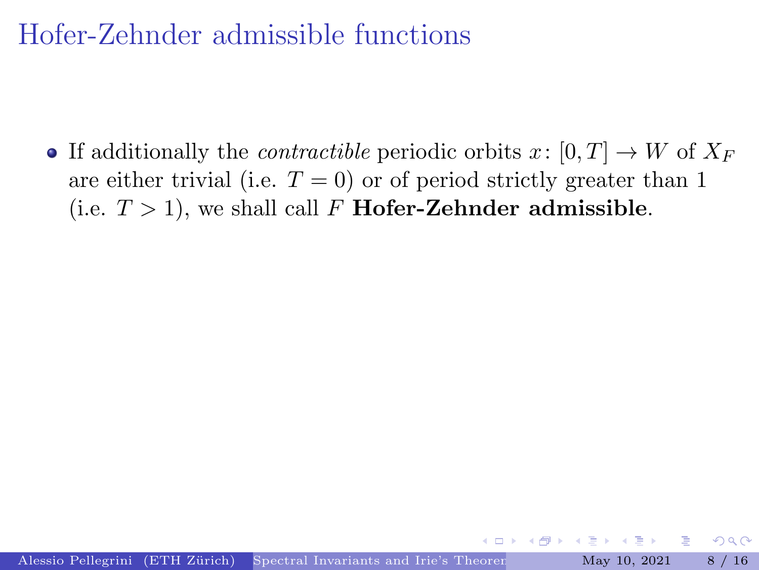• If additionally the *contractible* periodic orbits  $x: [0, T] \to W$  of  $X_F$ are either trivial (i.e.  $T = 0$ ) or of period strictly greater than 1 (i.e.  $T > 1$ ), we shall call F **Hofer-Zehnder admissible**.

 $\Omega$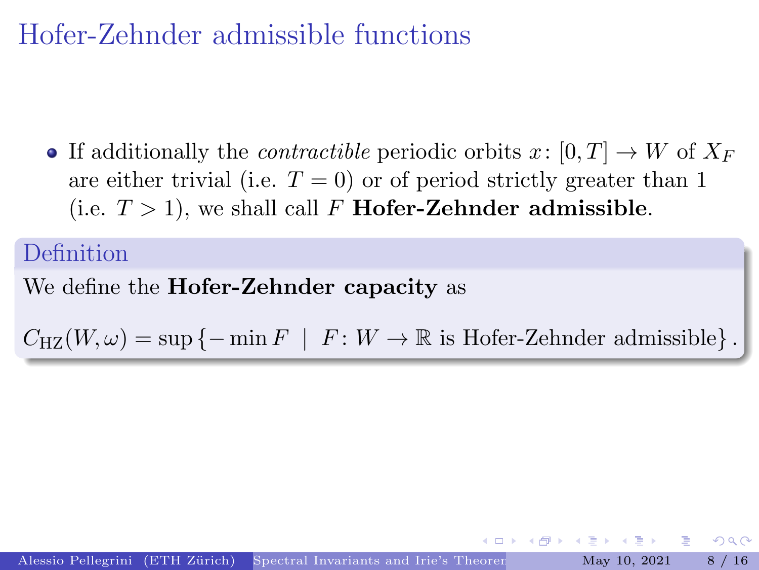• If additionally the *contractible* periodic orbits  $x: [0, T] \to W$  of  $X_F$ are either trivial (i.e.  $T = 0$ ) or of period strictly greater than 1 (i.e.  $T > 1$ ), we shall call F **Hofer-Zehnder admissible.** 

#### Definition

#### We define the **Hofer-Zehnder capacity** as

 $C_{\text{HZ}}(W,\omega) = \sup \{-\min F \mid F : W \to \mathbb{R} \text{ is Hofer-Zehnder admissible}\}.$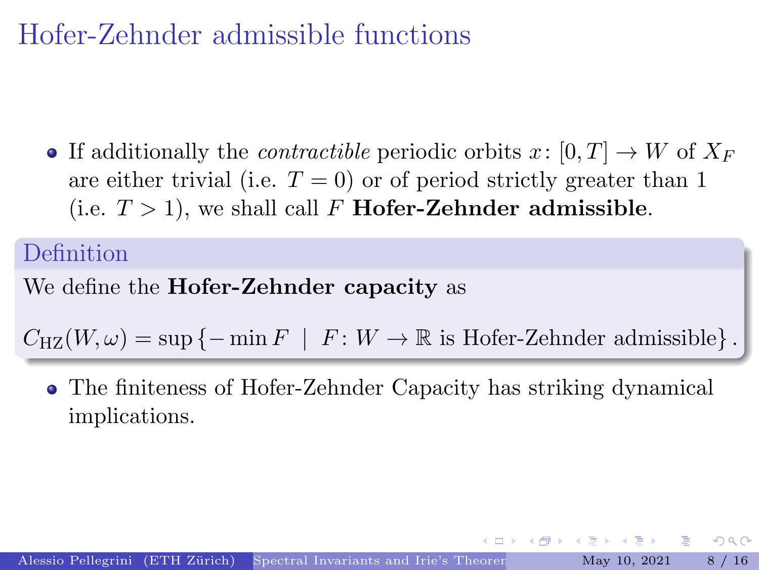• If additionally the *contractible* periodic orbits  $x: [0, T] \to W$  of  $X_F$ are either trivial (i.e.  $T = 0$ ) or of period strictly greater than 1 (i.e.  $T > 1$ ), we shall call F **Hofer-Zehnder admissible.** 

#### Definition

#### We define the **Hofer-Zehnder capacity** as

 $C_{\text{HZ}}(W,\omega) = \sup \{-\min F \mid F : W \to \mathbb{R} \text{ is Hofer-Zehnder admissible}\}.$ 

The finiteness of Hofer-Zehnder Capacity has striking dynamical implications.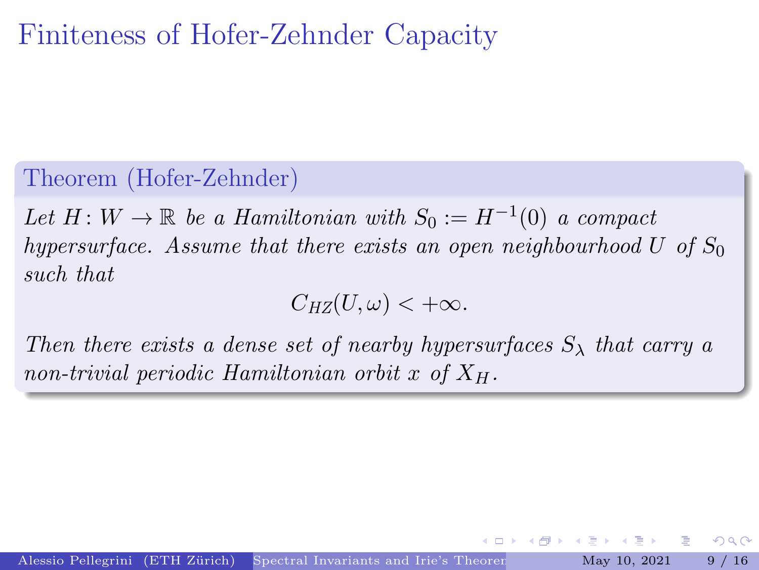### <span id="page-26-0"></span>Finiteness of Hofer-Zehnder Capacity

Theorem (Hofer-Zehnder)

Let  $H: W \to \mathbb{R}$  be a Hamiltonian with  $S_0 := H^{-1}(0)$  a compact hypersurface. Assume that there exists an open neighbourhood U of  $S_0$ such that

 $C_{HZ}(U, \omega) < +\infty.$ 

Then there exists a dense set of nearby hypersurfaces  $S_{\lambda}$  that carry a non-trivial periodic Hamiltonian orbit x of  $X_H$ .

 $\Omega$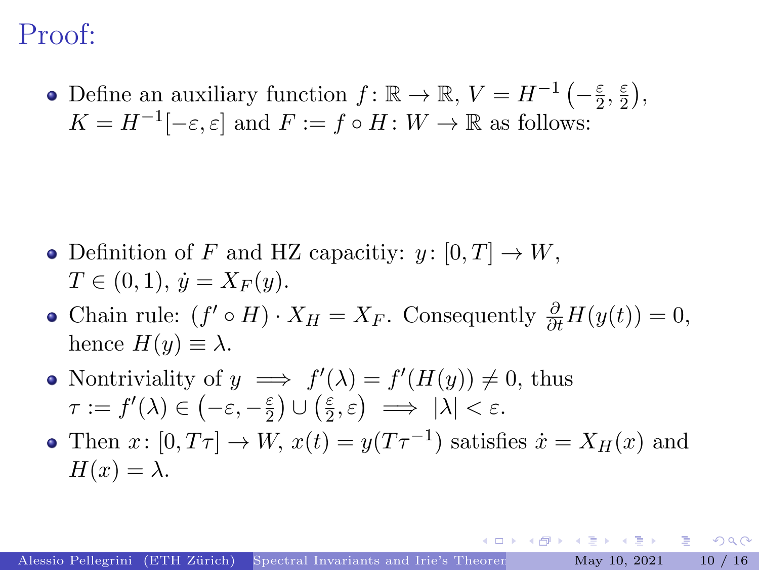### Proof:

Define an auxiliary function  $f: \mathbb{R} \to \mathbb{R}, V = H^{-1}(-\frac{\varepsilon}{2})$  $\frac{\varepsilon}{2}, \frac{\varepsilon}{2}$  $\frac{\varepsilon}{2}$ ),  $K = H^{-1}[-\varepsilon, \varepsilon]$  and  $F := f \circ H : W \to \mathbb{R}$  as follows:

- Definition of F and HZ capacitiv:  $y: [0, T] \to W$ ,  $T \in (0, 1), \, \dot{y} = X_F(y).$
- Chain rule:  $(f' \circ H) \cdot X_H = X_F$ . Consequently  $\frac{\partial}{\partial t} H(y(t)) = 0$ , hence  $H(y) \equiv \lambda$ .
- Nontriviality of  $y \implies f'(\lambda) = f'(H(y)) \neq 0$ , thus  $\tau := f'(\lambda) \in \left(-\varepsilon, -\frac{\varepsilon}{2}\right)$  $\frac{\varepsilon}{2}\big)\cup\Big(\frac{\varepsilon}{2}$  $(\frac{\varepsilon}{2}, \varepsilon) \implies |\lambda| < \varepsilon.$
- Then  $x: [0, T\tau] \to W$ ,  $x(t) = y(T\tau^{-1})$  satisfies  $\dot{x} = X_H(x)$  and  $H(x) = \lambda$ .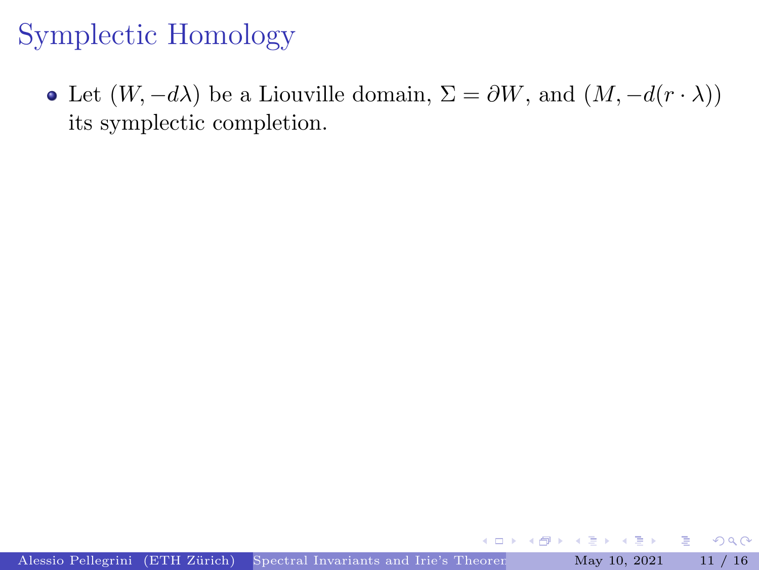<span id="page-28-0"></span>• Let  $(W, -d\lambda)$  be a Liouville domain,  $\Sigma = \partial W$ , and  $(M, -d(r \cdot \lambda))$ its symplectic completion.

4 0 8

Þк Þ  $2Q$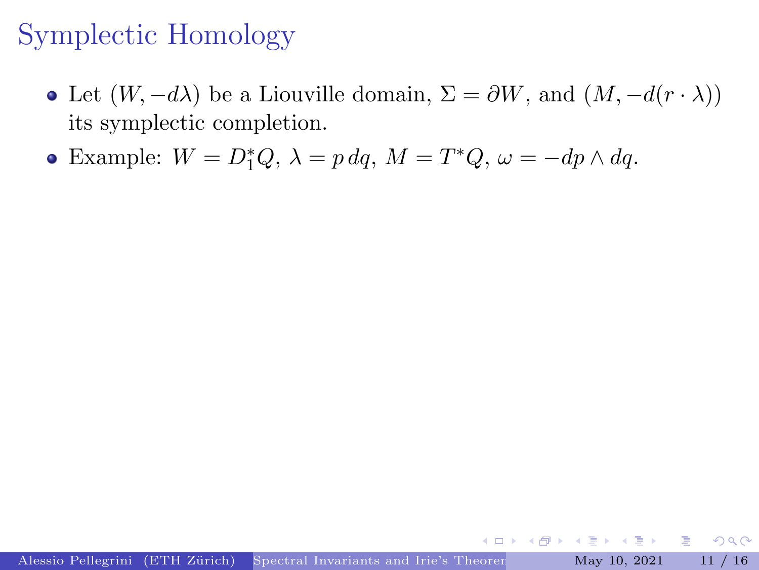- Let  $(W, -d\lambda)$  be a Liouville domain,  $\Sigma = \partial W$ , and  $(M, -d(r \cdot \lambda))$ its symplectic completion.
- Example:  $W = D_1^*Q$ ,  $\lambda = p dq$ ,  $M = T^*Q$ ,  $\omega = -dp \wedge dq$ .

4 0 8

 $\leftarrow \equiv +$ 

重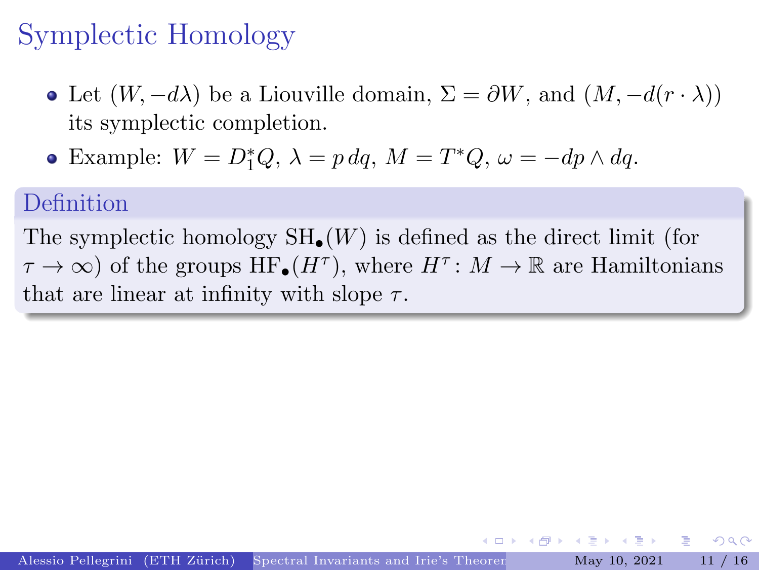- Let  $(W, -d\lambda)$  be a Liouville domain,  $\Sigma = \partial W$ , and  $(M, -d(r \cdot \lambda))$ its symplectic completion.
- Example:  $W = D_1^*Q$ ,  $\lambda = p dq$ ,  $M = T^*Q$ ,  $\omega = -dp \wedge dq$ .

#### Definition

The symplectic homology  $SH_{\bullet}(W)$  is defined as the direct limit (for  $\tau \to \infty$ ) of the groups  $HF_{\bullet}(H^{\tau})$ , where  $H^{\tau}: M \to \mathbb{R}$  are Hamiltonians that are linear at infinity with slope  $\tau$ .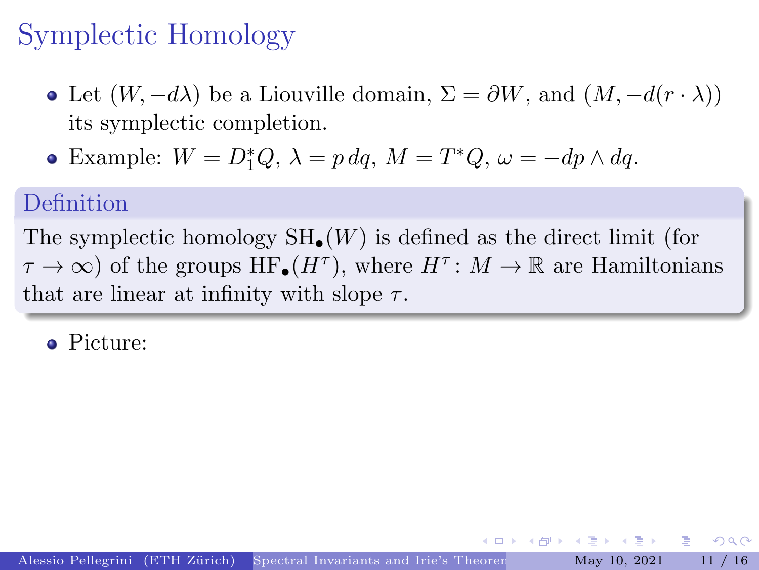- Let  $(W, -d\lambda)$  be a Liouville domain,  $\Sigma = \partial W$ , and  $(M, -d(r \cdot \lambda))$ its symplectic completion.
- Example:  $W = D_1^*Q$ ,  $\lambda = p dq$ ,  $M = T^*Q$ ,  $\omega = -dp \wedge dq$ .

#### Definition

The symplectic homology  $SH_{\bullet}(W)$  is defined as the direct limit (for  $\tau \to \infty$ ) of the groups  $HF_{\bullet}(H^{\tau})$ , where  $H^{\tau}: M \to \mathbb{R}$  are Hamiltonians that are linear at infinity with slope  $\tau$ .

Picture: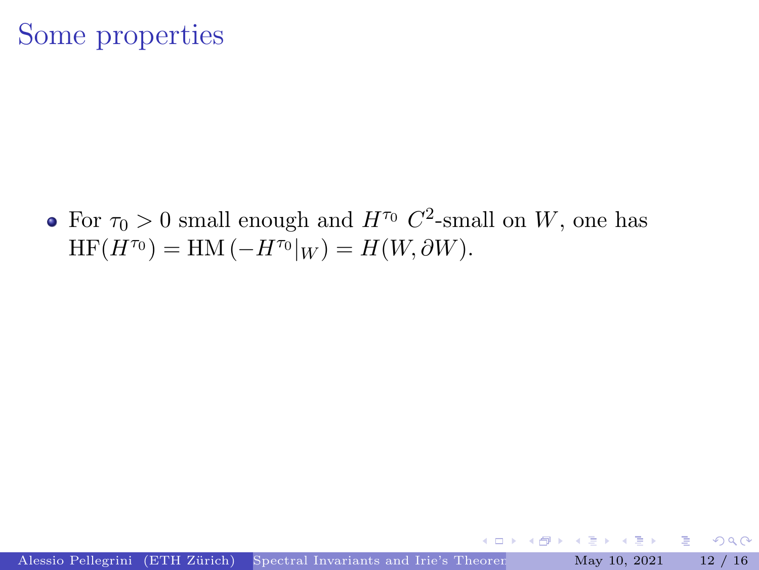### Some properties

For  $\tau_0 > 0$  small enough and  $H^{\tau_0}$   $C^2$ -small on W, one has  $HF(H^{\tau_0}) = HM(-H^{\tau_0}|_W) = H(W, \partial W).$ 

 $\leftarrow$   $\Box$ 

Þк Þ  $\Omega$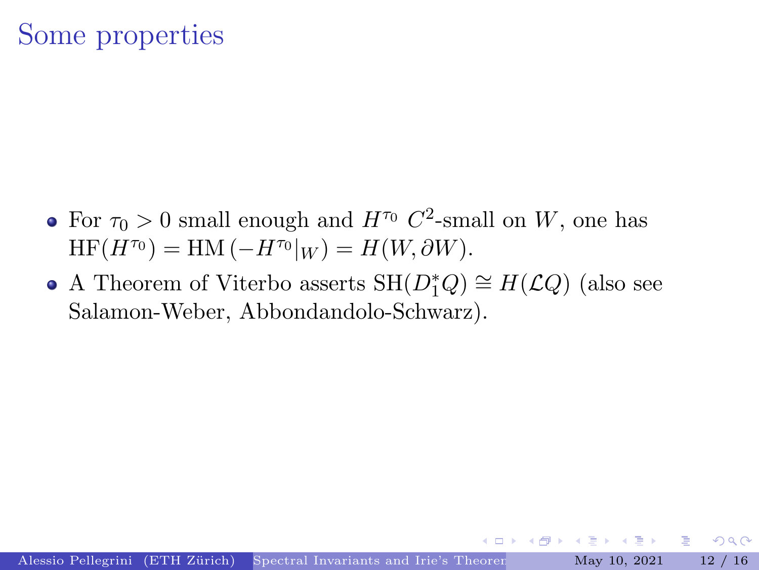### Some properties

- For  $\tau_0 > 0$  small enough and  $H^{\tau_0}$   $C^2$ -small on W, one has  $HF(H^{\tau_0}) = HM(-H^{\tau_0}|_W) = H(W, \partial W).$
- A Theorem of Viterbo asserts  $\mathrm{SH}(D_1^*Q)\cong H(\mathcal{L}Q)$  (also see Salamon-Weber, Abbondandolo-Schwarz).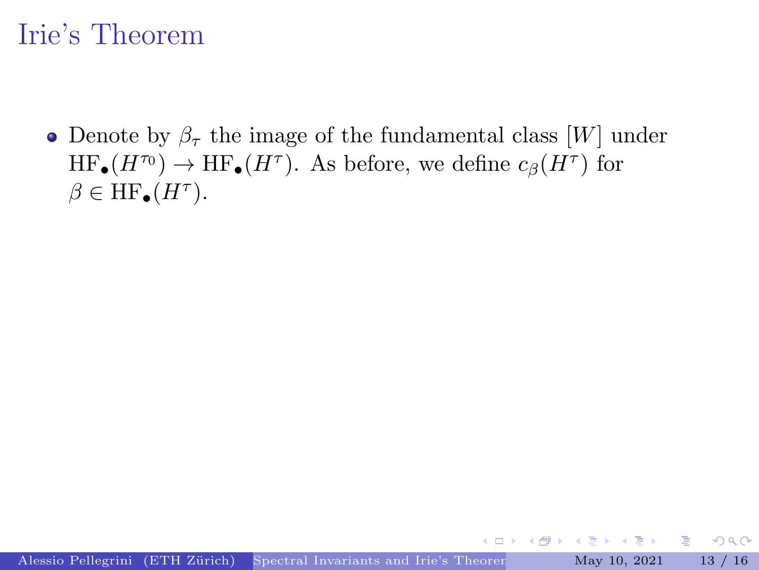### <span id="page-34-0"></span>Irie's Theorem

• Denote by  $\beta_{\tau}$  the image of the fundamental class [W] under  $HF_{\bullet}(H^{\tau_0}) \to \text{HF}_{\bullet}(H^{\tau})$ . As before, we define  $c_{\beta}(H^{\tau})$  for  $\beta \in \mathrm{HF}_{\bullet}(H^{\tau}).$ 

 $\mathbf{A} \oplus \mathbf{A}$  and  $\oplus \mathbf{A}$ 

 $\leftarrow$   $\Box$ 

重

 $2Q$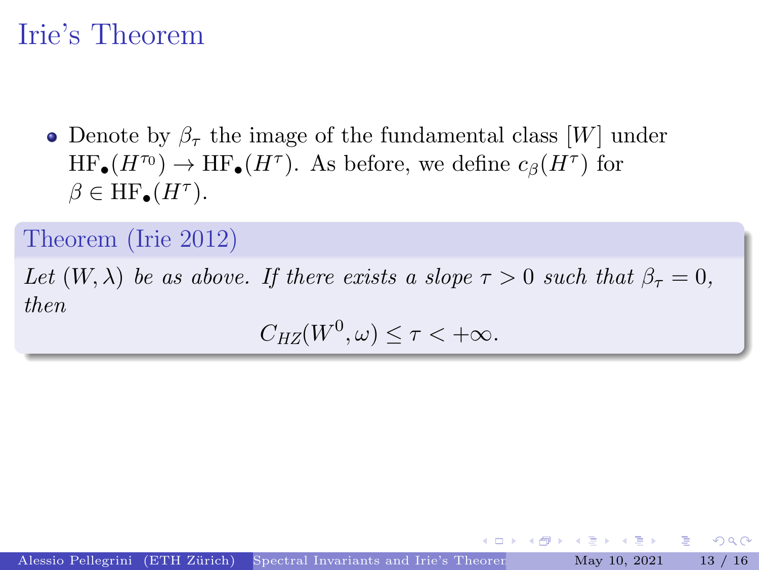### Irie's Theorem

• Denote by  $\beta_{\tau}$  the image of the fundamental class [W] under  $HF_{\bullet}(H^{\tau_0}) \to \text{HF}_{\bullet}(H^{\tau})$ . As before, we define  $c_{\beta}(H^{\tau})$  for  $\beta \in \mathrm{HF}_{\bullet}(H^{\tau}).$ 

Theorem (Irie 2012)

Let  $(W, \lambda)$  be as above. If there exists a slope  $\tau > 0$  such that  $\beta_{\tau} = 0$ , then

 $C_{HZ}(W^0, \omega) \leq \tau < +\infty.$ 

 $\mathbf{A} \rightarrow \mathbf{B}$ 

 $QQQ$ 

重.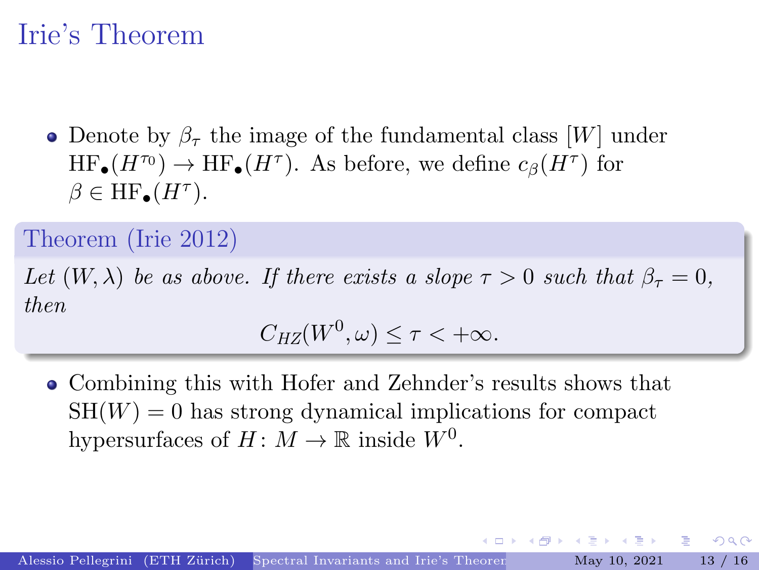## Irie's Theorem

• Denote by  $\beta_{\tau}$  the image of the fundamental class [W] under  $HF_{\bullet}(H^{\tau_0}) \to \text{HF}_{\bullet}(H^{\tau})$ . As before, we define  $c_{\beta}(H^{\tau})$  for  $\beta \in \mathrm{HF}_{\bullet}(H^{\tau}).$ 

Theorem (Irie 2012)

Let  $(W, \lambda)$  be as above. If there exists a slope  $\tau > 0$  such that  $\beta_{\tau} = 0$ , then

 $C_{HZ}(W^0, \omega) \leq \tau < +\infty.$ 

4 何 \* - 4 月 \* - 4 月 \*

그 그는 아

 $QQ$ 

Combining this with Hofer and Zehnder's results shows that  $SH(W) = 0$  has strong dynamical implications for compact hypersurfaces of  $H: M \to \mathbb{R}$  inside  $W^0$ .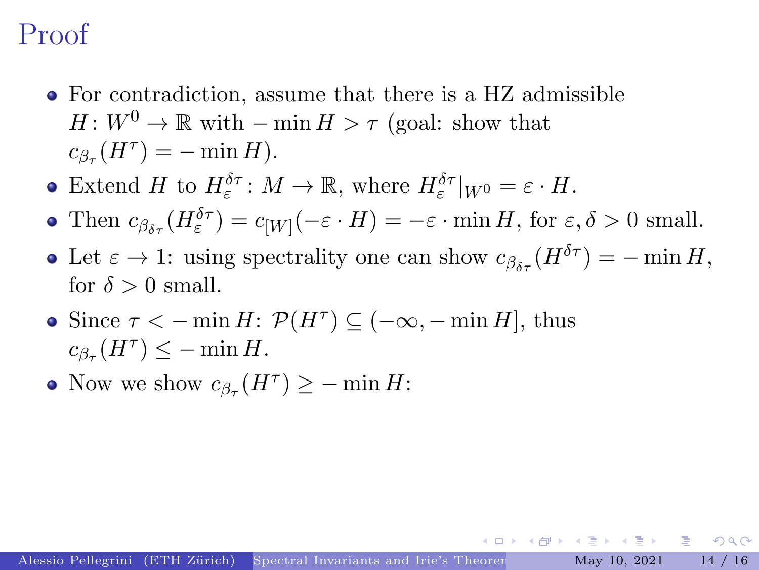## Proof

- For contradiction, assume that there is a HZ admissible  $H: W^0 \to \mathbb{R}$  with  $-\min H > \tau$  (goal: show that  $c_{\beta_{\tau}}(H^{\tau}) = -\min H).$
- Extend H to  $H_{\varepsilon}^{\delta \tau}$ :  $M \to \mathbb{R}$ , where  $H_{\varepsilon}^{\delta \tau}|_{W^0} = \varepsilon \cdot H$ .
- Then  $c_{\beta_{\delta\tau}}(H_{\varepsilon}^{\delta\tau}) = c_{[W]}(-\varepsilon \cdot H) = -\varepsilon \cdot \min H$ , for  $\varepsilon, \delta > 0$  small.
- Let  $\varepsilon \to 1$ : using spectrality one can show  $c_{\beta s}(H^{\delta \tau}) = -\min H$ , for  $\delta > 0$  small.
- Since  $\tau < -\min H$ :  $\mathcal{P}(H^{\tau}) \subseteq (-\infty, -\min H]$ , thus  $c_{\beta_{\tau}}(H^{\tau}) \leq -\min H.$
- Now we show  $c_{\beta_{\tau}}(H^{\tau}) \geq -\min H$ :

 $\equiv$   $\cap$   $\cap$ 

イタト イヨト イヨト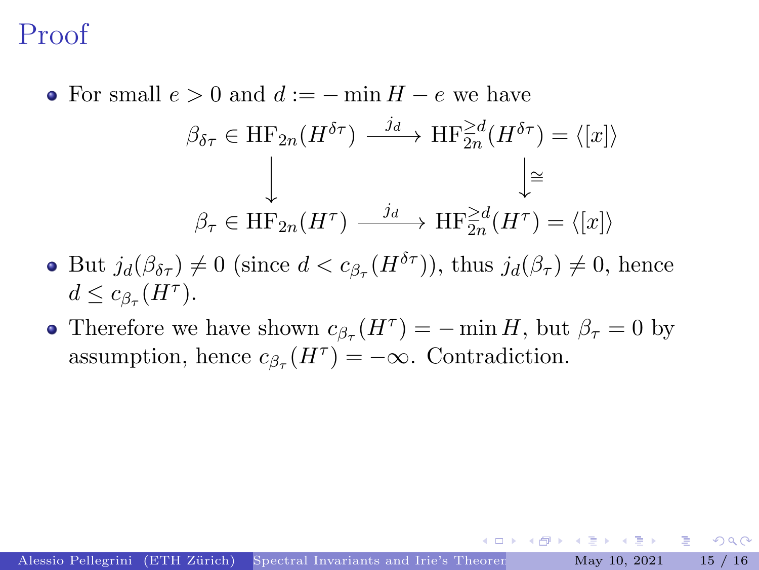### Proof

• For small  $e > 0$  and  $d := - \min H - e$  we have

$$
\beta_{\delta\tau} \in \mathrm{HF}_{2n}(H^{\delta\tau}) \xrightarrow{j_d} \mathrm{HF}_{2n}^{\geq d}(H^{\delta\tau}) = \langle [x] \rangle
$$

$$
\downarrow \qquad \qquad \downarrow \cong
$$

$$
\beta_{\tau} \in \mathrm{HF}_{2n}(H^{\tau}) \xrightarrow{j_d} \mathrm{HF}_{2n}^{\geq d}(H^{\tau}) = \langle [x] \rangle
$$

- But  $j_d(\beta_{\delta\tau}) \neq 0$  (since  $d < c_{\beta_{\tau}}(H^{\delta\tau})$ ), thus  $j_d(\beta_{\tau}) \neq 0$ , hence  $d \leq c_{\beta_{\tau}}(H^{\tau}).$
- Therefore we have shown  $c_{\beta_{\tau}}(H^{\tau}) = -\min H$ , but  $\beta_{\tau} = 0$  by assumption, hence  $c_{\beta_{\tau}}(H^{\tau}) = -\infty$ . Contradiction.

 $\mathbf{A} \equiv \mathbf{A} \times \mathbf{A} \equiv \mathbf{A}$ 

그 그는 것